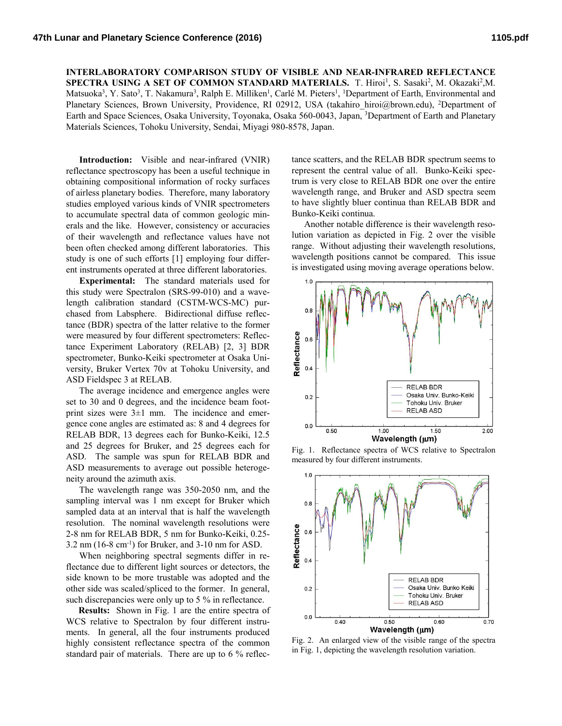**INTERLABORATORY COMPARISON STUDY OF VISIBLE AND NEAR-INFRARED REFLECTANCE**  SPECTRA USING A SET OF COMMON STANDARD MATERIALS. T. Hiroi<sup>1</sup>, S. Sasaki<sup>2</sup>, M. Okazaki<sup>2</sup>, M. Matsuoka<sup>3</sup>, Y. Sato<sup>3</sup>, T. Nakamura<sup>3</sup>, Ralph E. Milliken<sup>1</sup>, Carlé M. Pieters<sup>1</sup>, <sup>1</sup>Department of Earth, Environmental and Planetary Sciences, Brown University, Providence, RI 02912, USA (takahiro\_hiroi@brown.edu), <sup>2</sup>Department of Earth and Space Sciences, Osaka University, Toyonaka, Osaka 560-0043, Japan, <sup>3</sup>Department of Earth and Planetary Materials Sciences, Tohoku University, Sendai, Miyagi 980-8578, Japan.

**Introduction:** Visible and near-infrared (VNIR) reflectance spectroscopy has been a useful technique in obtaining compositional information of rocky surfaces of airless planetary bodies. Therefore, many laboratory studies employed various kinds of VNIR spectrometers to accumulate spectral data of common geologic minerals and the like. However, consistency or accuracies of their wavelength and reflectance values have not been often checked among different laboratories. This study is one of such efforts [1] employing four different instruments operated at three different laboratories.

**Experimental:** The standard materials used for this study were Spectralon (SRS-99-010) and a wavelength calibration standard (CSTM-WCS-MC) purchased from Labsphere. Bidirectional diffuse reflectance (BDR) spectra of the latter relative to the former were measured by four different spectrometers: Reflectance Experiment Laboratory (RELAB) [2, 3] BDR spectrometer, Bunko-Keiki spectrometer at Osaka University, Bruker Vertex 70v at Tohoku University, and ASD Fieldspec 3 at RELAB.

The average incidence and emergence angles were set to 30 and 0 degrees, and the incidence beam footprint sizes were 3±1 mm. The incidence and emergence cone angles are estimated as: 8 and 4 degrees for RELAB BDR, 13 degrees each for Bunko-Keiki, 12.5 and 25 degrees for Bruker, and 25 degrees each for ASD. The sample was spun for RELAB BDR and ASD measurements to average out possible heterogeneity around the azimuth axis.

The wavelength range was 350-2050 nm, and the sampling interval was 1 nm except for Bruker which sampled data at an interval that is half the wavelength resolution. The nominal wavelength resolutions were 2-8 nm for RELAB BDR, 5 nm for Bunko-Keiki, 0.25-  $3.2 \text{ nm}$  (16-8 cm<sup>-1</sup>) for Bruker, and  $3\text{-}10 \text{ nm}$  for ASD.

When neighboring spectral segments differ in reflectance due to different light sources or detectors, the side known to be more trustable was adopted and the other side was scaled/spliced to the former. In general, such discrepancies were only up to 5 % in reflectance.

**Results:** Shown in Fig. 1 are the entire spectra of WCS relative to Spectralon by four different instruments. In general, all the four instruments produced highly consistent reflectance spectra of the common standard pair of materials. There are up to 6 % reflectance scatters, and the RELAB BDR spectrum seems to represent the central value of all. Bunko-Keiki spectrum is very close to RELAB BDR one over the entire wavelength range, and Bruker and ASD spectra seem to have slightly bluer continua than RELAB BDR and Bunko-Keiki continua.

Another notable difference is their wavelength resolution variation as depicted in Fig. 2 over the visible range. Without adjusting their wavelength resolutions, wavelength positions cannot be compared. This issue is investigated using moving average operations below.



Fig. 1. Reflectance spectra of WCS relative to Spectralon measured by four different instruments.



Fig. 2. An enlarged view of the visible range of the spectra in Fig. 1, depicting the wavelength resolution variation.